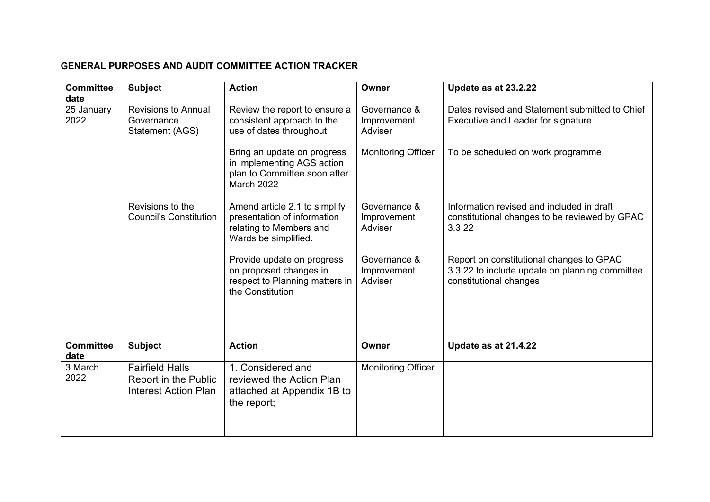## **GENERAL PURPOSES AND AUDIT COMMITTEE ACTION TRACKER**

| <b>Committee</b>           | <b>Subject</b>                                                                | <b>Action</b>                                                                                                          | Owner                                                               | Update as at 23.2.22                                                                                                      |
|----------------------------|-------------------------------------------------------------------------------|------------------------------------------------------------------------------------------------------------------------|---------------------------------------------------------------------|---------------------------------------------------------------------------------------------------------------------------|
| date<br>25 January<br>2022 | <b>Revisions to Annual</b><br>Governance<br>Statement (AGS)                   | Review the report to ensure a<br>consistent approach to the<br>use of dates throughout.<br>Bring an update on progress | Governance &<br>Improvement<br>Adviser<br><b>Monitoring Officer</b> | Dates revised and Statement submitted to Chief<br>Executive and Leader for signature<br>To be scheduled on work programme |
|                            |                                                                               | in implementing AGS action<br>plan to Committee soon after<br>March 2022                                               |                                                                     |                                                                                                                           |
|                            |                                                                               |                                                                                                                        |                                                                     |                                                                                                                           |
|                            | Revisions to the<br><b>Council's Constitution</b>                             | Amend article 2.1 to simplify<br>presentation of information<br>relating to Members and<br>Wards be simplified.        | Governance &<br>Improvement<br>Adviser                              | Information revised and included in draft<br>constitutional changes to be reviewed by GPAC<br>3.3.22                      |
|                            |                                                                               | Provide update on progress<br>on proposed changes in<br>respect to Planning matters in<br>the Constitution             | Governance &<br>Improvement<br>Adviser                              | Report on constitutional changes to GPAC<br>3.3.22 to include update on planning committee<br>constitutional changes      |
| <b>Committee</b><br>date   | <b>Subject</b>                                                                | <b>Action</b>                                                                                                          | Owner                                                               | Update as at 21.4.22                                                                                                      |
| 3 March<br>2022            | <b>Fairfield Halls</b><br>Report in the Public<br><b>Interest Action Plan</b> | 1. Considered and<br>reviewed the Action Plan<br>attached at Appendix 1B to<br>the report;                             | <b>Monitoring Officer</b>                                           |                                                                                                                           |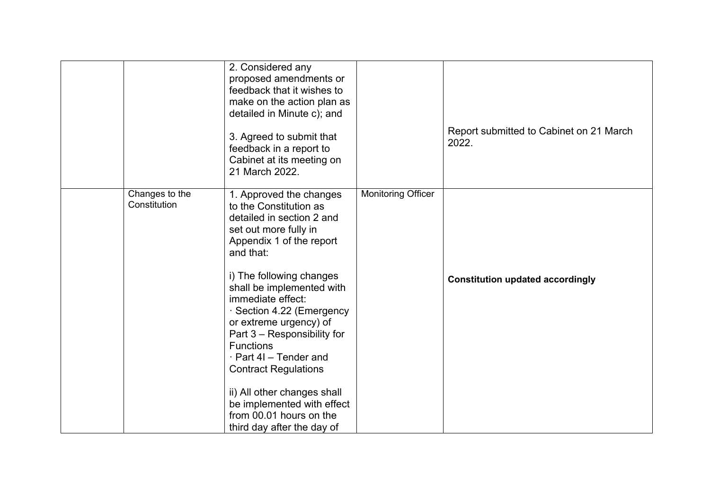|                                | 2. Considered any<br>proposed amendments or<br>feedback that it wishes to<br>make on the action plan as<br>detailed in Minute c); and<br>3. Agreed to submit that<br>feedback in a report to<br>Cabinet at its meeting on<br>21 March 2022.                                                                                                                                                                                                                                                                             |                           | Report submitted to Cabinet on 21 March<br>2022. |
|--------------------------------|-------------------------------------------------------------------------------------------------------------------------------------------------------------------------------------------------------------------------------------------------------------------------------------------------------------------------------------------------------------------------------------------------------------------------------------------------------------------------------------------------------------------------|---------------------------|--------------------------------------------------|
| Changes to the<br>Constitution | 1. Approved the changes<br>to the Constitution as<br>detailed in section 2 and<br>set out more fully in<br>Appendix 1 of the report<br>and that:<br>i) The following changes<br>shall be implemented with<br>immediate effect:<br>· Section 4.22 (Emergency<br>or extreme urgency) of<br>Part 3 – Responsibility for<br><b>Functions</b><br>· Part 4I - Tender and<br><b>Contract Regulations</b><br>ii) All other changes shall<br>be implemented with effect<br>from 00.01 hours on the<br>third day after the day of | <b>Monitoring Officer</b> | <b>Constitution updated accordingly</b>          |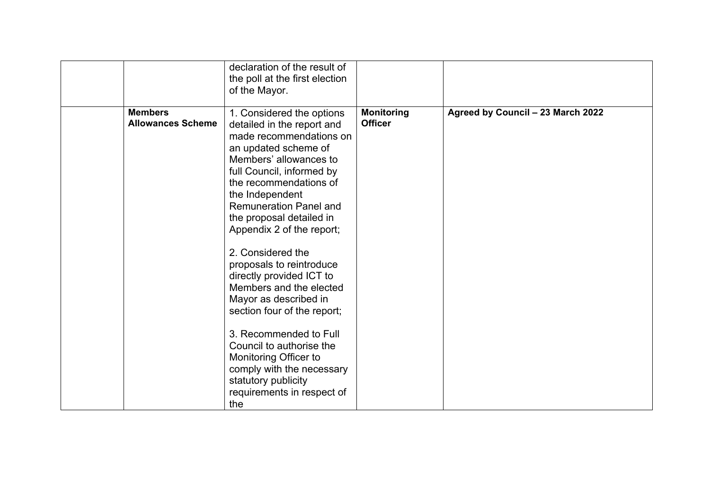|                                            | declaration of the result of<br>the poll at the first election<br>of the Mayor.                                                                                                                                                                                                                                                                                                                                                                                                                                                                                                                                                           |                                     |                                   |
|--------------------------------------------|-------------------------------------------------------------------------------------------------------------------------------------------------------------------------------------------------------------------------------------------------------------------------------------------------------------------------------------------------------------------------------------------------------------------------------------------------------------------------------------------------------------------------------------------------------------------------------------------------------------------------------------------|-------------------------------------|-----------------------------------|
| <b>Members</b><br><b>Allowances Scheme</b> | 1. Considered the options<br>detailed in the report and<br>made recommendations on<br>an updated scheme of<br>Members' allowances to<br>full Council, informed by<br>the recommendations of<br>the Independent<br><b>Remuneration Panel and</b><br>the proposal detailed in<br>Appendix 2 of the report;<br>2. Considered the<br>proposals to reintroduce<br>directly provided ICT to<br>Members and the elected<br>Mayor as described in<br>section four of the report;<br>3. Recommended to Full<br>Council to authorise the<br>Monitoring Officer to<br>comply with the necessary<br>statutory publicity<br>requirements in respect of | <b>Monitoring</b><br><b>Officer</b> | Agreed by Council - 23 March 2022 |
|                                            | the                                                                                                                                                                                                                                                                                                                                                                                                                                                                                                                                                                                                                                       |                                     |                                   |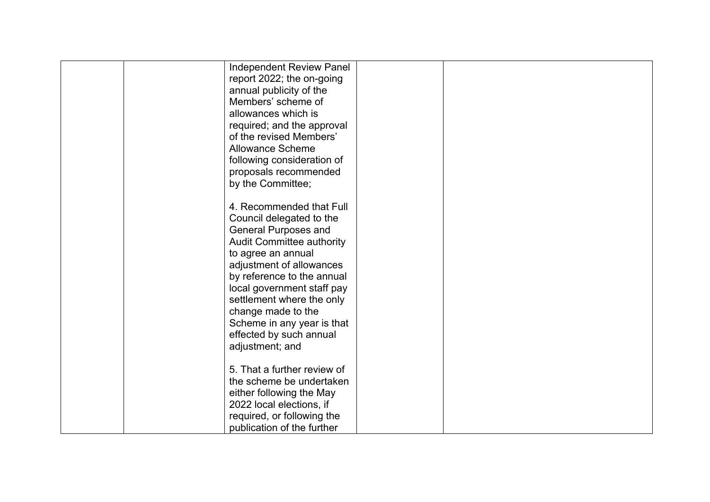| <b>Independent Review Panel</b> |  |
|---------------------------------|--|
| report 2022; the on-going       |  |
| annual publicity of the         |  |
| Members' scheme of              |  |
| allowances which is             |  |
| required; and the approval      |  |
| of the revised Members'         |  |
| <b>Allowance Scheme</b>         |  |
| following consideration of      |  |
| proposals recommended           |  |
| by the Committee;               |  |
|                                 |  |
| 4. Recommended that Full        |  |
| Council delegated to the        |  |
| <b>General Purposes and</b>     |  |
| Audit Committee authority       |  |
| to agree an annual              |  |
| adjustment of allowances        |  |
| by reference to the annual      |  |
| local government staff pay      |  |
| settlement where the only       |  |
| change made to the              |  |
| Scheme in any year is that      |  |
| effected by such annual         |  |
| adjustment; and                 |  |
|                                 |  |
| 5. That a further review of     |  |
| the scheme be undertaken        |  |
| either following the May        |  |
| 2022 local elections, if        |  |
| required, or following the      |  |
| publication of the further      |  |